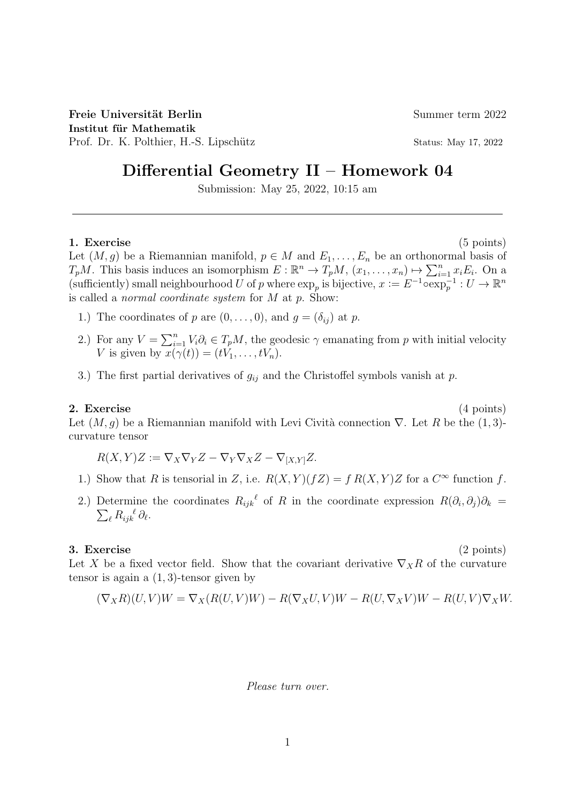Freie Universität Berlin Summer term 2022 Institut für Mathematik Prof. Dr. K. Polthier, H.-S. Lipschütz Status: May 17, 2022

# Differential Geometry II – Homework 04

Submission: May 25, 2022, 10:15 am

## 1. Exercise (5 points)

Let  $(M, g)$  be a Riemannian manifold,  $p \in M$  and  $E_1, \ldots, E_n$  be an orthonormal basis of  $T_pM$ . This basis induces an isomorphism  $E: \mathbb{R}^n \to T_pM$ ,  $(x_1, \ldots, x_n) \mapsto \sum_{i=1}^n x_i E_i$ . On a (sufficiently) small neighbourhood U of p where  $\exp_p$  is bijective,  $x := E^{-1} \overline{\exp_p^{-1}} : U \to \mathbb{R}^n$ is called a *normal coordinate system* for  $M$  at  $p$ . Show:

- 1.) The coordinates of p are  $(0, \ldots, 0)$ , and  $g = (\delta_{ij})$  at p.
- 2.) For any  $V = \sum_{i=1}^{n} V_i \partial_i \in T_p M$ , the geodesic  $\gamma$  emanating from p with initial velocity V is given by  $x(\gamma(t)) = (tV_1, \ldots, tV_n)$ .
- 3.) The first partial derivatives of  $g_{ij}$  and the Christoffel symbols vanish at p.

# 2. Exercise (4 points)

Let  $(M, g)$  be a Riemannian manifold with Levi Cività connection  $\nabla$ . Let R be the (1, 3)curvature tensor

$$
R(X,Y)Z := \nabla_X \nabla_Y Z - \nabla_Y \nabla_X Z - \nabla_{[X,Y]} Z.
$$

- 1.) Show that R is tensorial in Z, i.e.  $R(X,Y)(fZ) = f R(X,Y)Z$  for a  $C^{\infty}$  function f.
- 2.) Determine the coordinates  $R_{ijk}^{\ell}$  of R in the coordinate expression  $R(\partial_i, \partial_j)\partial_k =$  $\sum_{\ell} R_{ijk}^{\ \ \ell} \partial_{\ell}.$

#### 3. Exercise (2 points)

Let X be a fixed vector field. Show that the covariant derivative  $\nabla_X R$  of the curvature tensor is again a  $(1, 3)$ -tensor given by

$$
(\nabla_X R)(U,V)W = \nabla_X (R(U,V)W) - R(\nabla_X U,V)W - R(U,\nabla_X V)W - R(U,V)\nabla_X W.
$$

Please turn over.